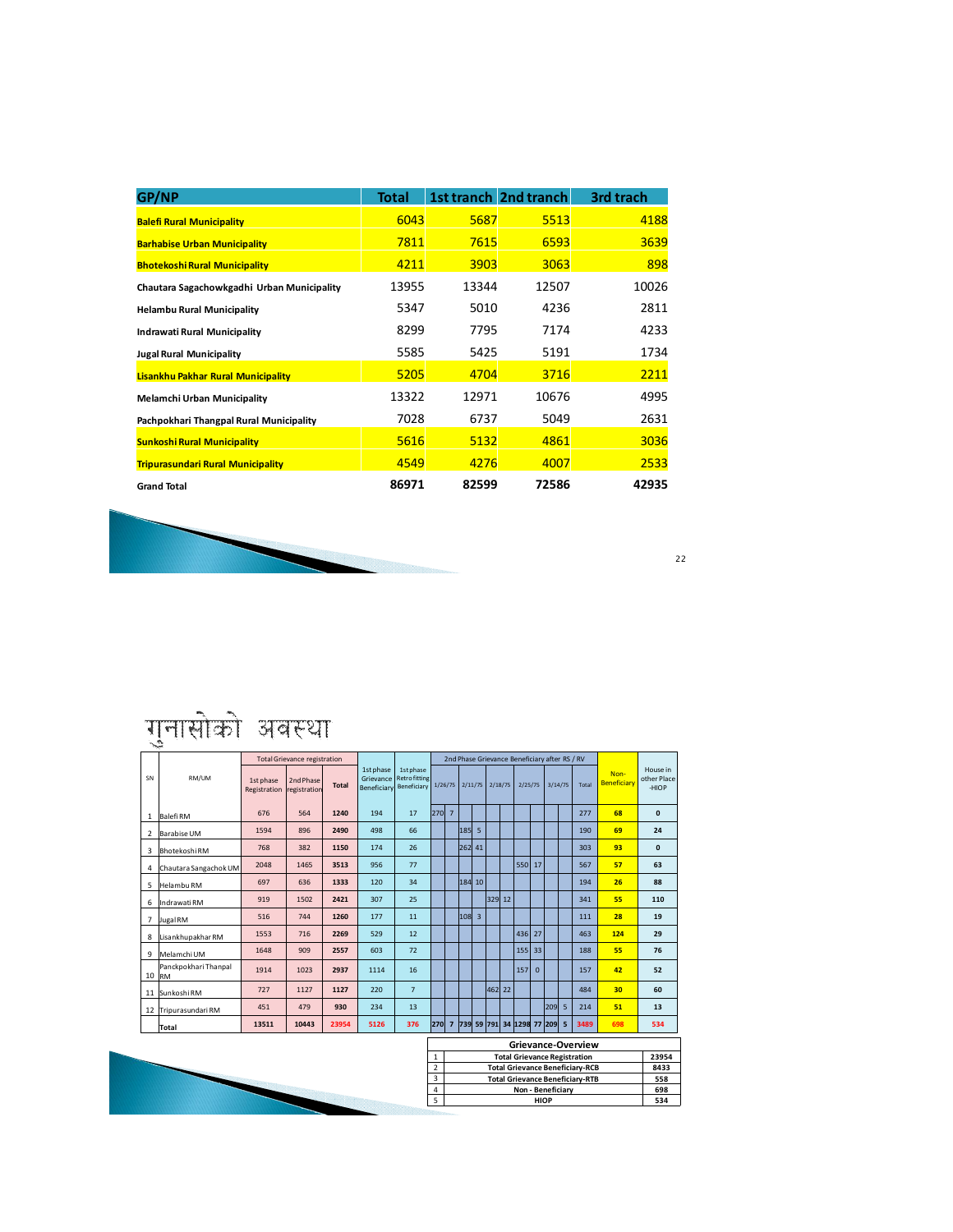| <b>GP/NP</b>                               | Total |       | <b>1st tranch 2nd tranch</b> | 3rd trach |
|--------------------------------------------|-------|-------|------------------------------|-----------|
| <b>Balefi Rural Municipality</b>           | 6043  | 5687  | 5513                         | 4188      |
| <b>Barhabise Urban Municipality</b>        | 7811  | 7615  | 6593                         | 3639      |
| <b>Bhotekoshi Rural Municipality</b>       | 4211  | 3903  | 3063                         | 898       |
| Chautara Sagachowkgadhi Urban Municipality | 13955 | 13344 | 12507                        | 10026     |
| <b>Helambu Rural Municipality</b>          | 5347  | 5010  | 4236                         | 2811      |
| Indrawati Rural Municipality               | 8299  | 7795  | 7174                         | 4233      |
| <b>Jugal Rural Municipality</b>            | 5585  | 5425  | 5191                         | 1734      |
| Lisankhu Pakhar Rural Municipality         | 5205  | 4704  | 3716                         | 2211      |
| <b>Melamchi Urban Municipality</b>         | 13322 | 12971 | 10676                        | 4995      |
| Pachpokhari Thangpal Rural Municipality    | 7028  | 6737  | 5049                         | 2631      |
| <b>Sunkoshi Rural Municipality</b>         | 5616  | 5132  | 4861                         | 3036      |
| <b>Tripurasundari Rural Municipality</b>   | 4549  | 4276  | 4007                         | 2533      |
| <b>Grand Total</b>                         | 86971 | 82599 | 72586                        | 42935     |



22

## गुनासोको अवस्था

|                |                       | <b>Total Grievance registration</b> |                           |              |                                       | 2nd Phase Grievance Beneficiary after RS / RV    |                                  |                                        |        |         |         |  |                               |          |         |      |                    |                     |                                  |
|----------------|-----------------------|-------------------------------------|---------------------------|--------------|---------------------------------------|--------------------------------------------------|----------------------------------|----------------------------------------|--------|---------|---------|--|-------------------------------|----------|---------|------|--------------------|---------------------|----------------------------------|
| SN             | RM/UM                 | 1st phase<br>Registration           | 2nd Phase<br>registration | <b>Total</b> | 1st phase<br>Grievance<br>Beneficiary | 1st phase<br><b>Retro fitting</b><br>Beneficiary |                                  | 1/26/75                                |        | 2/11/75 | 2/18/75 |  | 2/25/75                       |          | 3/14/75 |      | Total              | Non-<br>Beneficiary | House in<br>other Place<br>-HIOP |
|                | 1 Balefi RM           | 676                                 | 564                       | 1240         | 194                                   | 17                                               | 270                              | $\overline{7}$                         |        |         |         |  |                               |          |         |      | 277                | 68                  | $\mathbf{0}$                     |
| $\overline{2}$ | <b>Barabise UM</b>    | 1594                                | 896                       | 2490         | 498                                   | 66                                               |                                  |                                        | 185 5  |         |         |  |                               |          |         |      | 190                | 69                  | 24                               |
| 3              | <b>Bhotekoshi RM</b>  | 768                                 | 382                       | 1150         | 174                                   | 26                                               |                                  |                                        | 262 41 |         |         |  |                               |          |         |      | 303                | 93                  | $\mathbf{0}$                     |
| 4              | Chautara Sangachok UM | 2048                                | 1465                      | 3513         | 956                                   | 77                                               |                                  |                                        |        |         |         |  | 550 17                        |          |         |      | 567                | 57                  | 63                               |
|                | 5 Helambu RM          | 697                                 | 636                       | 1333         | 120                                   | 34                                               |                                  |                                        | 184 10 |         |         |  |                               |          |         |      | 194                | 26                  | 88                               |
| 6              | Indrawati RM          | 919                                 | 1502                      | 2421         | 307                                   | 25                                               |                                  |                                        |        |         | 329 12  |  |                               |          |         |      | 341                | 55                  | 110                              |
| 7              | Jugal RM              | 516                                 | 744                       | 1260         | 177                                   | 11                                               |                                  |                                        | 108 3  |         |         |  |                               |          |         |      | 111                | 28                  | 19                               |
|                | 8 Lisankhupakhar RM   | 1553                                | 716                       | 2269         | 529                                   | 12                                               |                                  |                                        |        |         |         |  | 436 27                        |          |         |      | 463                | 124                 | 29                               |
|                | 9 Melamchi UM         | 1648                                | 909                       | 2557         | 603                                   | 72                                               |                                  |                                        |        |         |         |  | 155 33                        |          |         |      | 188                | 55                  | 76                               |
| 10 RM          | Panckpokhari Thanpal  | 1914                                | 1023                      | 2937         | 1114                                  | 16                                               |                                  |                                        |        |         |         |  | 157                           | $\Omega$ |         |      | 157                | 42                  | 52                               |
|                | 11 Sunkoshi RM        | 727                                 | 1127                      | 1127         | 220                                   | $\overline{7}$                                   |                                  |                                        |        |         | 462 22  |  |                               |          |         |      | 484                | 30                  | 60                               |
|                | 12 Tripurasundari RM  | 451                                 | 479                       | 930          | 234                                   | 13                                               |                                  |                                        |        |         |         |  |                               |          | 209 5   |      | 214                | 51                  | 13                               |
|                | <b>Total</b>          | 13511                               | 10443                     | 23954        | 5126                                  | 376                                              | 270                              |                                        |        |         |         |  | 7 739 59 791 34 1298 77 209 5 |          |         |      | 3489               | 698                 | 534                              |
|                |                       |                                     |                           |              |                                       |                                                  |                                  |                                        |        |         |         |  |                               |          |         |      | Grievance-Overview |                     |                                  |
|                |                       |                                     |                           |              |                                       |                                                  | $\mathbf{1}$                     | <b>Total Grievance Registration</b>    |        |         |         |  |                               |          |         |      | 23954              |                     |                                  |
|                |                       |                                     |                           |              |                                       |                                                  | $\overline{2}$                   | <b>Total Grievance Beneficiary-RCB</b> |        |         |         |  |                               |          |         | 8433 |                    |                     |                                  |
|                |                       |                                     |                           |              |                                       |                                                  | $\overline{3}$                   | <b>Total Grievance Beneficiary-RTB</b> |        |         |         |  |                               |          |         | 558  |                    |                     |                                  |
|                |                       |                                     |                           |              |                                       | 4                                                | Non - Beneficiary<br><b>HIOP</b> |                                        |        |         |         |  |                               | 698      |         |      |                    |                     |                                  |
|                |                       |                                     |                           |              |                                       | 5                                                |                                  |                                        |        |         |         |  |                               |          |         |      |                    | 534                 |                                  |